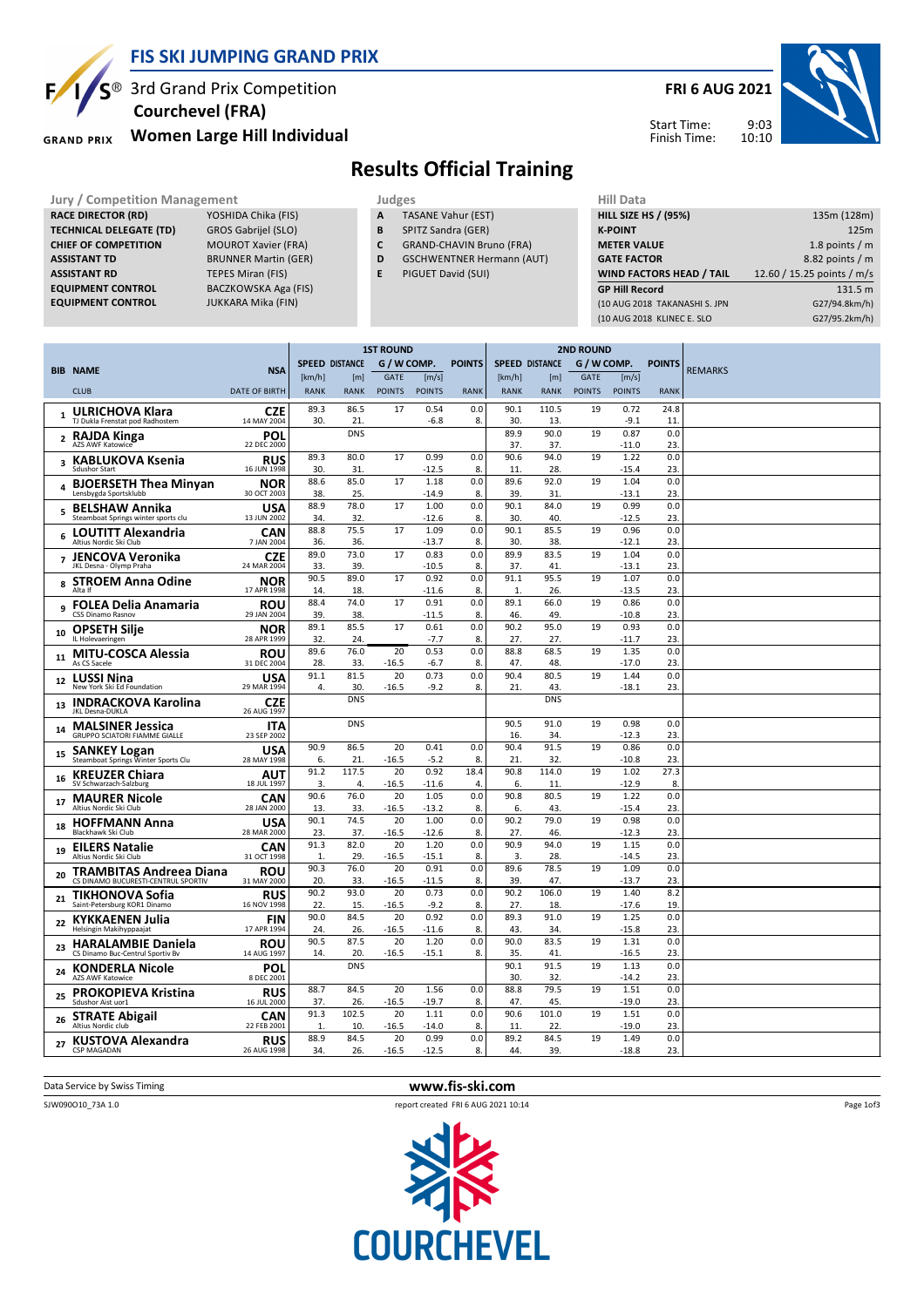

## **FIS SKI JUMPING GRAND PRIX**

 $\mathsf{S}^{\circledast}$  3rd Grand Prix Competition  **Courchevel (FRA)**

**Women Large Hill Individual GRAND PRIX** 

## **Results Official Training**

- **A** TASANE Vahur (EST)
- **B** SPITZ Sandra (GER)
- **C** GRAND-CHAVIN Bruno (FRA)
- **D** GSCHWENTNER Hermann (AUT)
- **E** PIGUET David (SUI)

| <b>Jury / Competition Management</b> |                             |    | Judges                           | <b>Hill Data</b>                |                            |  |
|--------------------------------------|-----------------------------|----|----------------------------------|---------------------------------|----------------------------|--|
| <b>RACE DIRECTOR (RD)</b>            | YOSHIDA Chika (FIS)         | А  | <b>TASANE Vahur (EST)</b>        | <b>HILL SIZE HS / (95%)</b>     | 135m (128m)                |  |
| <b>TECHNICAL DELEGATE (TD)</b>       | <b>GROS Gabrijel (SLO)</b>  | В  | SPITZ Sandra (GER)               | <b>K-POINT</b>                  | 125m                       |  |
| <b>CHIEF OF COMPETITION</b>          | <b>MOUROT Xavier (FRA)</b>  | C  | <b>GRAND-CHAVIN Bruno (FRA)</b>  | <b>METER VALUE</b>              | 1.8 points $/m$            |  |
| <b>ASSISTANT TD</b>                  | <b>BRUNNER Martin (GER)</b> | D  | <b>GSCHWENTNER Hermann (AUT)</b> | <b>GATE FACTOR</b>              | 8.82 points / m            |  |
| <b>ASSISTANT RD</b>                  | TEPES Miran (FIS)           | E. | PIGUET David (SUI)               | <b>WIND FACTORS HEAD / TAIL</b> | 12.60 / 15.25 points / m/s |  |
| <b>EQUIPMENT CONTROL</b>             | BACZKOWSKA Aga (FIS)        |    |                                  | <b>GP Hill Record</b>           | 131.5 m                    |  |
| <b>EQUIPMENT CONTROL</b>             | JUKKARA Mika (FIN)          |    |                                  | (10 AUG 2018 TAKANASHI S. JPN   | G27/94.8km/h)              |  |
|                                      |                             |    |                                  | (10 AUG 2018 KLINEC E. SLO      | G27/95.2km/h)              |  |
|                                      |                             |    |                                  |                                 |                            |  |

|                |                                                                 |                           |                       |              | <b>1ST ROUND</b> |                 |               |                       |              | <b>2ND ROUND</b> |                 |               |                |
|----------------|-----------------------------------------------------------------|---------------------------|-----------------------|--------------|------------------|-----------------|---------------|-----------------------|--------------|------------------|-----------------|---------------|----------------|
|                | <b>BIB NAME</b>                                                 | <b>NSA</b>                | <b>SPEED DISTANCE</b> |              | G / W COMP.      |                 | <b>POINTS</b> | <b>SPEED DISTANCE</b> |              | G / W COMP.      |                 | <b>POINTS</b> | <b>REMARKS</b> |
|                |                                                                 |                           | [km/h]                | [m]          | <b>GATE</b>      | [m/s]           |               | [km/h]                | [m]          | <b>GATE</b>      | [m/s]           |               |                |
|                | <b>CLUB</b>                                                     | <b>DATE OF BIRTH</b>      | <b>RANK</b>           | <b>RANK</b>  | <b>POINTS</b>    | <b>POINTS</b>   | <b>RANK</b>   | <b>RANK</b>           | <b>RANK</b>  | <b>POINTS</b>    | <b>POINTS</b>   | <b>RANK</b>   |                |
|                | <b>ULRICHOVA Klara</b><br>TJ Dukla Frenstat pod Radhostem       | <b>CZE</b><br>14 MAY 2004 | 89.3<br>30.           | 86.5<br>21   | 17               | 0.54<br>$-6.8$  | 0.0<br>8.     | 90.1<br>30.           | 110.5<br>13. | 19               | 0.72<br>$-9.1$  | 24.8<br>11    |                |
| $\mathbf{2}$   | RAJDA Kinga<br>AZS AWF Katowice                                 | POL<br>22 DEC 2000        |                       | <b>DNS</b>   |                  |                 |               | 89.9<br>37.           | 90.0<br>37.  | 19               | 0.87<br>$-11.0$ | 0.0<br>23.    |                |
| 3              | <b>KABLUKOVA Ksenia</b><br>Sdushor Start                        | <b>RUS</b><br>16 JUN 1998 | 89.3<br>30.           | 80.0<br>31.  | 17               | 0.99<br>$-12.5$ | 0.0<br>8.     | 90.6<br>11.           | 94.0<br>28.  | 19               | 1.22<br>$-15.4$ | 0.0<br>23.    |                |
| 4              | <b>BJOERSETH Thea Minyan</b><br>Lensbygda Sportsklubb           | <b>NOR</b><br>30 OCT 2003 | 88.6<br>38.           | 85.0<br>25.  | 17               | 1.18<br>$-14.9$ | 0.0<br>8.     | 89.6<br>39.           | 92.0<br>31   | 19               | 1.04<br>$-13.1$ | 0.0<br>23.    |                |
| 5              | <b>BELSHAW Annika</b><br>Steamboat Springs winter sports clu    | <b>USA</b><br>13 JUN 2002 | 88.9<br>34.           | 78.0<br>32.  | 17               | 1.00<br>$-12.6$ | 0.0<br>8.     | 90.1<br>30.           | 84.0<br>40.  | 19               | 0.99<br>$-12.5$ | 0.0<br>23.    |                |
| 6              | <b>LOUTITT Alexandria</b><br>Altius Nordic Ski Club             | <b>CAN</b><br>7 JAN 2004  | 88.8<br>36.           | 75.5<br>36.  | 17               | 1.09<br>$-13.7$ | 0.0<br>8.     | 90.1<br>30.           | 85.5<br>38.  | 19               | 0.96<br>$-12.1$ | 0.0<br>23.    |                |
| $\overline{ }$ | <b>JENCOVA Veronika</b><br>JKL Desna - Olymp Praha              | <b>CZE</b><br>24 MAR 2004 | 89.0<br>33.           | 73.0<br>39.  | 17               | 0.83<br>$-10.5$ | 0.0<br>8.     | 89.9<br>37.           | 83.5<br>41   | 19               | 1.04<br>$-13.1$ | 0.0<br>23.    |                |
| 8              | <b>STROEM Anna Odine</b><br>Alta If                             | <b>NOR</b><br>17 APR 1998 | 90.5<br>14.           | 89.0<br>18.  | 17               | 0.92<br>$-11.6$ | 0.0<br>8.     | 91.1<br>1.            | 95.5<br>26.  | 19               | 1.07<br>$-13.5$ | 0.0<br>23.    |                |
| 9              | <b>FOLEA Delia Anamaria</b><br><b>CSS Dinamo Rasnov</b>         | <b>ROU</b><br>29 JAN 2004 | 88.4<br>39.           | 74.0<br>38.  | 17               | 0.91<br>$-11.5$ | 0.0<br>8.     | 89.1<br>46.           | 66.0<br>49.  | 19               | 0.86<br>$-10.8$ | 0.0<br>23.    |                |
| 10             | <b>OPSETH Silje</b><br>IL Holevaeringen                         | <b>NOR</b><br>28 APR 1999 | 89.1<br>32.           | 85.5<br>24.  | 17               | 0.61<br>$-7.7$  | 0.0<br>8.     | 90.2<br>27.           | 95.0<br>27.  | 19               | 0.93<br>$-11.7$ | 0.0<br>23.    |                |
| 11             | MITU-COSCA Alessia<br>As CS Sacele                              | ROU<br>31 DEC 2004        | 89.6<br>28.           | 76.0<br>33.  | 20<br>-16.5      | 0.53<br>$-6.7$  | 0.0<br>8.     | 88.8<br>47.           | 68.5<br>48.  | 19               | 1.35<br>-17.0   | 0.0<br>23.    |                |
| 12             | <b>LUSSI Nina</b><br>New York Ski Ed Foundation                 | <b>USA</b><br>29 MAR 1994 | 91.1<br>4.            | 81.5<br>30.  | 20<br>$-16.5$    | 0.73<br>$-9.2$  | 0.0<br>8.     | 90.4<br>21.           | 80.5<br>43.  | 19               | 1.44<br>$-18.1$ | 0.0<br>23.    |                |
| 13             | <b>INDRACKOVA Karolina</b><br><b>JKL Desna-DUKLA</b>            | <b>CZE</b><br>26 AUG 1997 |                       | <b>DNS</b>   |                  |                 |               |                       | <b>DNS</b>   |                  |                 |               |                |
| 14             | <b>MALSINER Jessica</b><br><b>GRUPPO SCIATORI FIAMME GIALLE</b> | <b>ITA</b><br>23 SEP 2002 |                       | <b>DNS</b>   |                  |                 |               | 90.5<br>16.           | 91.0<br>34.  | 19               | 0.98<br>$-12.3$ | 0.0<br>23.    |                |
| 15             | <b>SANKEY Logan</b><br>Steamboat Springs Winter Sports Clu      | <b>USA</b><br>28 MAY 1998 | 90.9<br>6.            | 86.5<br>21   | 20<br>-16.5      | 0.41<br>$-5.2$  | 0.0<br>8.     | 90.4<br>21            | 91.5<br>32.  | 19               | 0.86<br>$-10.8$ | 0.0<br>23.    |                |
| 16             | <b>KREUZER Chiara</b><br>SV Schwarzach-Salzburg                 | AUT<br>18 JUL 1997        | 91.2<br>3.            | 117.5<br>4.  | 20<br>$-16.5$    | 0.92<br>$-11.6$ | 18.4<br>4.    | 90.8<br>6.            | 114.0<br>11  | 19               | 1.02<br>$-12.9$ | 27.3<br>8.    |                |
| 17             | <b>MAURER Nicole</b><br>Altius Nordic Ski Club                  | CAN<br>28 JAN 2000        | 90.6<br>13.           | 76.0<br>33.  | 20<br>$-16.5$    | 1.05<br>$-13.2$ | 0.0<br>8.     | 90.8<br>6.            | 80.5<br>43.  | 19               | 1.22<br>$-15.4$ | 0.0<br>23.    |                |
| 18             | <b>HOFFMANN Anna</b><br>Blackhawk Ski Club                      | <b>USA</b><br>28 MAR 2000 | 90.1<br>23.           | 74.5<br>37.  | 20<br>$-16.5$    | 1.00<br>$-12.6$ | 0.0<br>8.     | 90.2<br>27.           | 79.0<br>46.  | 19               | 0.98<br>$-12.3$ | 0.0<br>23.    |                |
| 19             | <b>EILERS Natalie</b><br>Altius Nordic Ski Club                 | CAN<br>31 OCT 1998        | 91.3<br>$\mathbf{1}$  | 82.0<br>29.  | 20<br>$-16.5$    | 1.20<br>$-15.1$ | 0.0<br>8.     | 90.9<br>3.            | 94.0<br>28.  | 19               | 1.15<br>$-14.5$ | 0.0<br>23.    |                |
| 20             | TRAMBITAS Andreea Diana<br>CS DINAMO BUCURESTI-CENTRUL SPORTIV  | <b>ROU</b><br>31 MAY 2000 | 90.3<br>20.           | 76.0<br>33.  | 20<br>$-16.5$    | 0.91<br>$-11.5$ | 0.0<br>8.     | 89.6<br>39.           | 78.5<br>47.  | 19               | 1.09<br>$-13.7$ | 0.0<br>23.    |                |
| 21             | TIKHONOVA Sofia<br>Saint-Petersburg KOR1 Dinamo                 | <b>RUS</b><br>16 NOV 1998 | 90.2<br>22.           | 93.0<br>15.  | 20<br>$-16.5$    | 0.73<br>$-9.2$  | 0.0<br>8.     | 90.2<br>27.           | 106.0<br>18. | 19               | 1.40<br>$-17.6$ | 8.2<br>19.    |                |
| 22             | <b>KYKKAENEN Julia</b><br>Helsingin Makihyppaajat               | <b>FIN</b><br>17 APR 1994 | 90.0<br>24.           | 84.5<br>26.  | 20<br>$-16.5$    | 0.92<br>$-11.6$ | 0.0<br>8.     | 89.3<br>43.           | 91.0<br>34.  | 19               | 1.25<br>$-15.8$ | 0.0<br>23.    |                |
| 23             | <b>HARALAMBIE Daniela</b><br>CS Dinamo Buc-Centrul Sportiv Bv   | <b>ROU</b><br>14 AUG 1997 | 90.5<br>14.           | 87.5<br>20.  | 20<br>$-16.5$    | 1.20<br>$-15.1$ | 0.0<br>8.     | 90.0<br>35.           | 83.5<br>41   | 19               | 1.31<br>$-16.5$ | 0.0<br>23.    |                |
| 24             | <b>KONDERLA Nicole</b><br><b>A7S AWF Katowice</b>               | <b>POL</b><br>8 DEC 2001  |                       | <b>DNS</b>   |                  |                 |               | 90.1<br>30.           | 91.5<br>32.  | 19               | 1.13<br>$-14.2$ | 0.0<br>23.    |                |
| 25             | <b>PROKOPIEVA Kristina</b><br>Sdushor Aist uor1                 | <b>RUS</b><br>16 JUL 2000 | 88.7<br>37.           | 84.5<br>26.  | 20<br>$-16.5$    | 1.56<br>$-19.7$ | 0.0<br>8.     | 88.8<br>47.           | 79.5<br>45.  | 19               | 1.51<br>$-19.0$ | 0.0<br>23.    |                |
| 26             | <b>STRATE Abigail</b><br>Altius Nordic club                     | <b>CAN</b><br>22 FEB 2001 | 91.3<br>$\mathbf{1}$  | 102.5<br>10. | 20<br>$-16.5$    | 1.11<br>$-14.0$ | 0.0<br>8.     | 90.6<br>11.           | 101.0<br>22. | 19               | 1.51<br>$-19.0$ | 0.0<br>23.    |                |
| 27             | <b>KUSTOVA Alexandra</b><br>CSP MAGADAN                         | <b>RUS</b><br>26 AUG 1998 | 88.9<br>34.           | 84.5<br>26.  | 20<br>$-16.5$    | 0.99<br>$-12.5$ | 0.0<br>8.     | 89.2<br>44.           | 84.5<br>39.  | 19               | 1.49<br>$-18.8$ | 0.0<br>23.    |                |
|                |                                                                 |                           |                       |              |                  |                 |               |                       |              |                  |                 |               |                |





Page 1of3

**FRI 6 AUG 2021**

9:03

10:10 Start Time: Finish Time:



SJW090O10\_73A 1.0 report created FRI 6 AUG 2021 10:14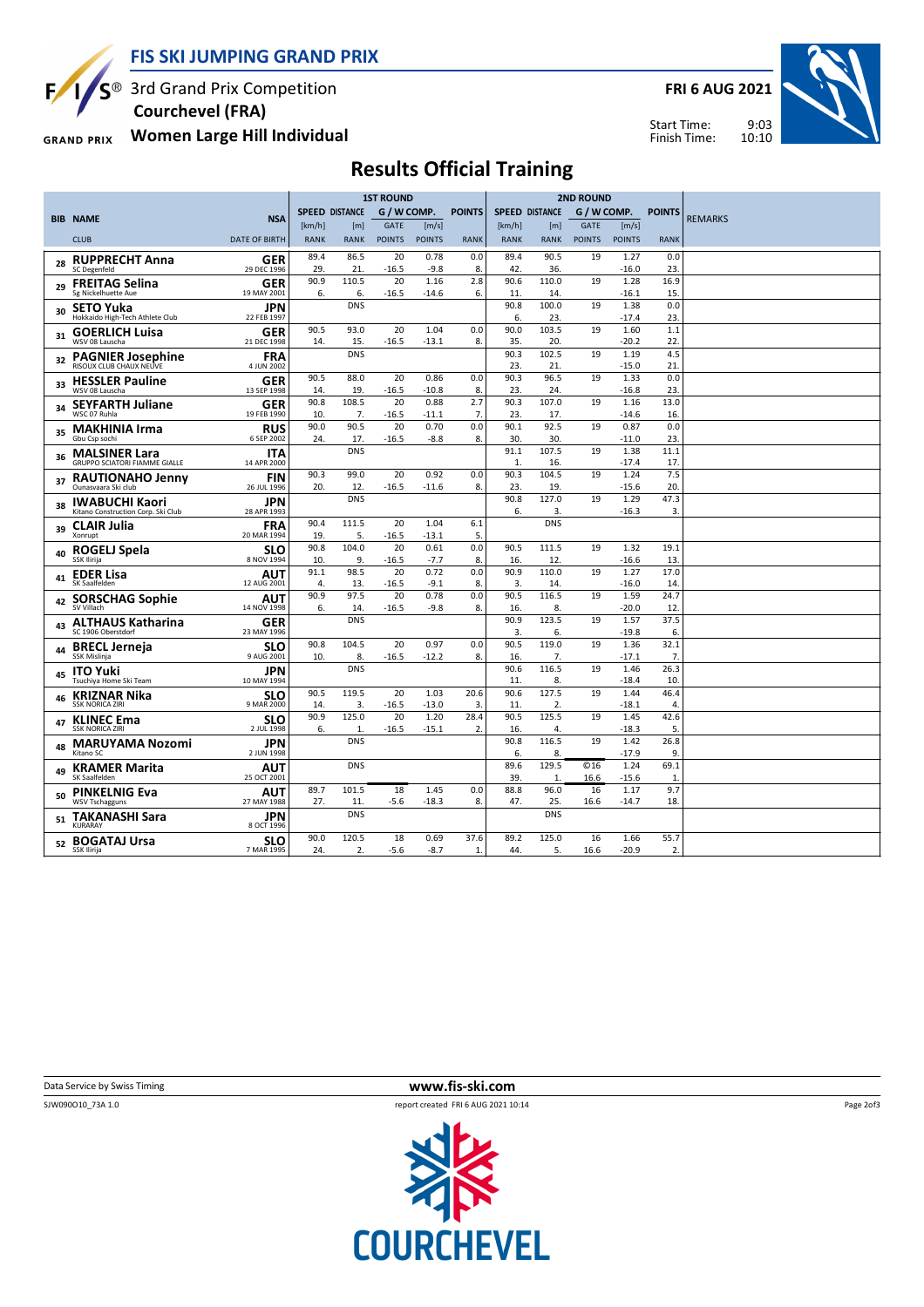

S<sup>®</sup> 3rd Grand Prix Competition  **Courchevel (FRA)**

**Women Large Hill Individual GRAND PRIX** 

**FRI 6 AUG 2021**



Start Time: Finish Time:

## **Results Official Training**

|    |                                                              |                           | <b>1ST ROUND</b>      |                       |               |                 |               | <b>2ND ROUND</b>      |                       |               |                 |                      |                |
|----|--------------------------------------------------------------|---------------------------|-----------------------|-----------------------|---------------|-----------------|---------------|-----------------------|-----------------------|---------------|-----------------|----------------------|----------------|
|    |                                                              |                           | <b>SPEED DISTANCE</b> |                       | G / W COMP.   |                 | <b>POINTS</b> | <b>SPEED DISTANCE</b> |                       | G / W COMP.   |                 | <b>POINTS</b>        |                |
|    | <b>BIB NAME</b>                                              | <b>NSA</b>                | [km/h]                | [ <sub>m</sub> ]      | <b>GATE</b>   | [m/s]           |               | [km/h]                | [m]                   | <b>GATE</b>   | [m/s]           |                      | <b>REMARKS</b> |
|    | <b>CLUB</b>                                                  | <b>DATE OF BIRTH</b>      | <b>RANK</b>           | <b>RANK</b>           | <b>POINTS</b> | <b>POINTS</b>   | <b>RANK</b>   | <b>RANK</b>           | <b>RANK</b>           | <b>POINTS</b> | <b>POINTS</b>   | <b>RANK</b>          |                |
| 28 | <b>RUPPRECHT Anna</b>                                        | GER                       | 89.4                  | 86.5                  | 20            | 0.78            | 0.0           | 89.4                  | 90.5                  | 19            | 1.27            | 0.0                  |                |
|    | SC Degenfeld                                                 | 29 DEC 1996               | 29.                   | 21.                   | $-16.5$       | $-9.8$          | 8.            | 42                    | 36.                   |               | $-16.0$         | 23.                  |                |
| 29 | <b>FREITAG Selina</b><br>Sg Nickelhuette Aue                 | GER<br>19 MAY 2001        | 90.9<br>6.            | 110.5<br>6.           | 20<br>$-16.5$ | 1.16<br>$-14.6$ | 2.8<br>6.     | 90.6<br>11            | 110.0<br>14.          | 19            | 1.28<br>$-16.1$ | 16.9<br>15.          |                |
| 30 | <b>SETO Yuka</b><br>Hokkaido High-Tech Athlete Club          | JPN<br>22 FEB 1997        |                       | <b>DNS</b>            |               |                 |               | 90.8<br>6.            | 100.0<br>23.          | 19            | 1.38<br>$-17.4$ | 0.0<br>23.           |                |
| 31 | <b>GOERLICH Luisa</b><br>WSV 08 Lauscha                      | GER<br>21 DEC 1998        | 90.5<br>14.           | 93.0<br>15.           | 20<br>$-16.5$ | 1.04<br>$-13.1$ | 0.0<br>8.     | 90.0<br>35.           | 103.5<br>20.          | 19            | 1.60<br>$-20.2$ | 1.1<br>22.           |                |
| 32 | <b>PAGNIER Josephine</b><br>RISOUX CLUB CHAUX NEUVE          | <b>FRA</b><br>4 JUN 2002  |                       | <b>DNS</b>            |               |                 |               | 90.3<br>23.           | 102.5<br>21.          | 19            | 1.19<br>$-15.0$ | 4.5<br>21.           |                |
| 33 | <b>HESSLER Pauline</b><br>WSV 08 Lauscha                     | <b>GER</b><br>13 SEP 1998 | 90.5<br>14.           | 88.0<br>19.           | 20<br>$-16.5$ | 0.86<br>$-10.8$ | 0.0<br>8.     | 90.3<br>23.           | 96.5<br>24.           | 19            | 1.33<br>$-16.8$ | 0.0<br>23.           |                |
| 34 | <b>SEYFARTH Juliane</b><br>WSC 07 Ruhla                      | GER<br>19 FEB 1990        | 90.8<br>10.           | 108.5<br>7.           | 20<br>$-16.5$ | 0.88<br>-11.1   | 2.7<br>7.     | 90.3<br>23.           | 107.0<br>17.          | 19            | 1.16<br>$-14.6$ | 13.0<br>16.          |                |
| 35 | <b>MAKHINIA Irma</b><br>Gbu Csp sochi                        | <b>RUS</b><br>6 SEP 2002  | 90.0<br>24.           | 90.5<br>17.           | 20<br>$-16.5$ | 0.70<br>$-8.8$  | 0.0<br>8.     | 90.1<br>30.           | 92.5<br>30.           | 19            | 0.87<br>$-11.0$ | 0.0<br>23.           |                |
| 36 | <b>MALSINER Lara</b><br><b>GRUPPO SCIATORI FIAMME GIALLE</b> | <b>ITA</b><br>14 APR 2000 |                       | <b>DNS</b>            |               |                 |               | 91.1<br>1.            | 107.5<br>16.          | 19            | 1.38<br>$-17.4$ | 11.1<br>17.          |                |
| 37 | <b>RAUTIONAHO Jenny</b><br>Ounasyaara Ski club               | <b>FIN</b><br>26 JUL 1996 | 90.3<br>20.           | 99.0<br>12.           | 20<br>$-16.5$ | 0.92<br>$-11.6$ | 0.0<br>8.     | 90.3<br>23.           | 104.5<br>19.          | 19            | 1.24<br>$-15.6$ | 7.5<br>20.           |                |
| 38 | <b>IWABUCHI Kaori</b><br>Kitano Construction Corp. Ski Club  | JPN<br>28 APR 1993        |                       | <b>DNS</b>            |               |                 |               | 90.8<br>6.            | 127.0<br>3.           | 19            | 1.29<br>$-16.3$ | 47.3<br>3.           |                |
| 39 | <b>CLAIR Julia</b><br>Xonrupt                                | <b>FRA</b><br>20 MAR 1994 | 90.4<br>19.           | 111.5<br>5.           | 20<br>-16.5   | 1.04<br>$-13.1$ | 6.1<br>5.     |                       | <b>DNS</b>            |               |                 |                      |                |
| 40 | ROGELJ Spela<br>SSK Ilirija                                  | SLO<br>8 NOV 1994         | 90.8<br>10.           | 104.0<br>9.           | 20<br>-16.5   | 0.61<br>$-7.7$  | 0.0<br>8.     | 90.5<br>16.           | 111.5<br>12.          | 19            | 1.32<br>$-16.6$ | 19.1<br>13.          |                |
| 41 | <b>EDER Lisa</b><br>SK Saalfelden                            | AUT<br>12 AUG 2001        | 91.1<br>4.            | 98.5<br>13.           | 20<br>-16.5   | 0.72<br>$-9.1$  | 0.0<br>8      | 90.9<br>3.            | 110.0<br>14.          | 19            | 1.27<br>$-16.0$ | 17.0<br>14.          |                |
| 42 | <b>SORSCHAG Sophie</b><br>SV Villach                         | <b>AUT</b><br>14 NOV 1998 | 90.9<br>6.            | 97.5<br>14.           | 20<br>-16.5   | 0.78<br>$-9.8$  | 0.0<br>8.     | 90.5<br>16.           | 116.5<br>8.           | 19            | 1.59<br>$-20.0$ | 24.7<br>12.          |                |
| 43 | <b>ALTHAUS Katharina</b><br>SC 1906 Oberstdorf               | GER<br>23 MAY 1996        |                       | <b>DNS</b>            |               |                 |               | 90.9<br>3.            | 123.5<br>6.           | 19            | 1.57<br>$-19.8$ | 37.5<br>6.           |                |
| 44 | <b>BRECL Jerneja</b><br>SSK Mislinja                         | SLO<br>9 AUG 2001         | 90.8<br>10.           | 104.5<br>8.           | 20<br>$-16.5$ | 0.97<br>$-12.2$ | 0.0<br>8.     | 90.5<br>16.           | 119.0<br>7.           | 19            | 1.36<br>$-17.1$ | 32.1<br>7.           |                |
| 45 | <b>ITO Yuki</b><br>Tsuchiva Home Ski Team                    | JPN<br>10 MAY 1994        |                       | <b>DNS</b>            |               |                 |               | 90.6<br>11            | 116.5<br>8.           | 19            | 1.46<br>$-18.4$ | 26.3<br>10.          |                |
| 46 | <b>KRIZNAR Nika</b><br><b>SSK NORICA ZIRI</b>                | <b>SLO</b><br>9 MAR 2000  | 90.5<br>14.           | 119.5<br>3.           | 20<br>$-16.5$ | 1.03<br>$-13.0$ | 20.6<br>3.    | 90.6<br>11            | 127.5<br>2.           | 19            | 1.44<br>$-18.1$ | 46.4<br>4.           |                |
| 47 | <b>KLINEC Ema</b><br><b>SSK NORICA ZIRI</b>                  | <b>SLO</b><br>2 JUL 1998  | 90.9<br>6.            | 125.0<br>$\mathbf{1}$ | 20<br>$-16.5$ | 1.20<br>$-15.1$ | 28.4<br>2.    | 90.5<br>16.           | 125.5<br>4.           | 19            | 1.45<br>$-18.3$ | 42.6<br>5.           |                |
| 48 | <b>MARUYAMA Nozomi</b><br>Kitano SC                          | JPN<br>2 JUN 1998         |                       | <b>DNS</b>            |               |                 |               | 90.8<br>6.            | 116.5<br>8.           | 19            | 1.42<br>$-17.9$ | 26.8<br>9.           |                |
| 49 | <b>KRAMER Marita</b><br>SK Saalfelden                        | <b>AUT</b><br>25 OCT 2001 |                       | <b>DNS</b>            |               |                 |               | 89.6<br>39.           | 129.5<br>$\mathbf{1}$ | $°$<br>16.6   | 1.24<br>$-15.6$ | 69.1<br>$\mathbf{1}$ |                |
| 50 | <b>PINKELNIG Eva</b><br><b>WSV Tschagguns</b>                | AUT<br>27 MAY 1988        | 89.7<br>27.           | 101.5<br>11.          | 18<br>$-5.6$  | 1.45<br>$-18.3$ | 0.0<br>8.     | 88.8<br>47.           | 96.0<br>25.           | 16<br>16.6    | 1.17<br>$-14.7$ | 9.7<br>18.           |                |
| 51 | <b>TAKANASHI Sara</b><br>KURARAY                             | JPN<br>8 OCT 1996         |                       | <b>DNS</b>            |               |                 |               |                       | <b>DNS</b>            |               |                 |                      |                |
|    | 52 BOGATAJ Ursa<br>SSK Ilirija                               | <b>SLO</b><br>7 MAR 1995  | 90.0<br>24.           | 120.5<br>2.           | 18<br>$-5.6$  | 0.69<br>$-8.7$  | 37.6<br>1.    | 89.2<br>44.           | 125.0<br>5.           | 16<br>16.6    | 1.66<br>$-20.9$ | 55.7<br>2.           |                |

**Data Service by Swiss Timing WWW.fis-ski.com** 



Page 2of3